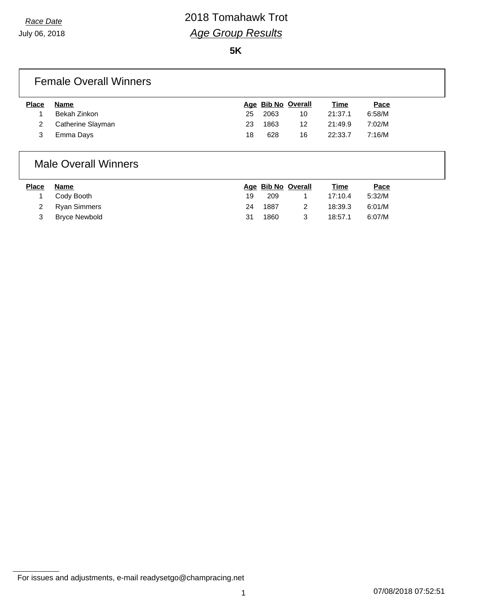**5K**

#### Female Overall Winners

| <b>Place</b> | Name              |     |      | Age Bib No Overall | <u>Time</u> | Pace   |
|--------------|-------------------|-----|------|--------------------|-------------|--------|
|              | Bekah Zinkon      | 25. | 2063 | 10                 | 21:37.1     | 6:58/M |
|              | Catherine Slayman | 23  | 1863 | 12                 | 21:49.9     | 7:02/M |
|              | Emma Days         | 18  | 628  | 16                 | 22:33.7     | 7:16/M |

#### Male Overall Winners

| <b>Place</b> | Name          |    | Age Bib No Overall | <u>Time</u> | <u>Pace</u> |
|--------------|---------------|----|--------------------|-------------|-------------|
|              | Cody Booth    | 19 | 209                | 17:10.4     | 5:32/M      |
|              | Ryan Simmers  | 24 | 1887               | 18:39.3     | 6:01/M      |
|              | Bryce Newbold | 31 | 1860               | 18:57.1     | 6:07/M      |

For issues and adjustments, e-mail readysetgo@champracing.net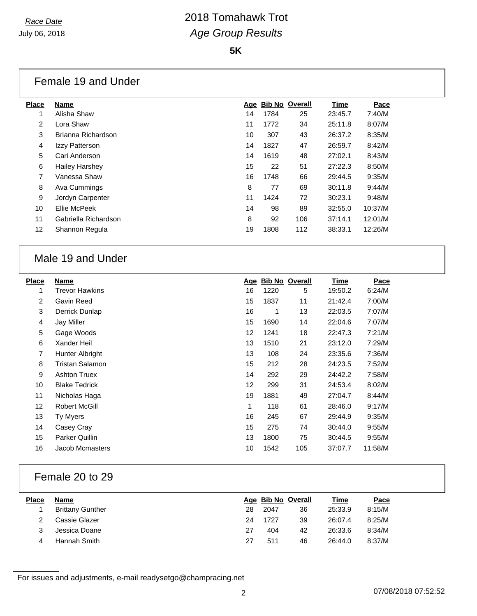**5K**

#### Female 19 and Under

| <b>Place</b>   | <b>Name</b>           | Age |      | <b>Bib No Overall</b> | Time    | Pace    |
|----------------|-----------------------|-----|------|-----------------------|---------|---------|
| 1              | Alisha Shaw           | 14  | 1784 | 25                    | 23:45.7 | 7:40/M  |
| $\overline{2}$ | Lora Shaw             | 11  | 1772 | 34                    | 25:11.8 | 8:07/M  |
| 3              | Brianna Richardson    | 10  | 307  | 43                    | 26:37.2 | 8:35/M  |
| 4              | Izzy Patterson        | 14  | 1827 | 47                    | 26:59.7 | 8:42/M  |
| 5              | Cari Anderson         | 14  | 1619 | 48                    | 27:02.1 | 8:43/M  |
| 6              | <b>Hailey Harshey</b> | 15  | 22   | 51                    | 27:22.3 | 8:50/M  |
| 7              | Vanessa Shaw          | 16  | 1748 | 66                    | 29:44.5 | 9:35/M  |
| 8              | Ava Cummings          | 8   | 77   | 69                    | 30:11.8 | 9:44/M  |
| 9              | Jordyn Carpenter      | 11  | 1424 | 72                    | 30:23.1 | 9:48/M  |
| 10             | Ellie McPeek          | 14  | 98   | 89                    | 32:55.0 | 10:37/M |
| 11             | Gabriella Richardson  | 8   | 92   | 106                   | 37:14.1 | 12:01/M |
| 12             | Shannon Regula        | 19  | 1808 | 112                   | 38:33.1 | 12:26/M |
|                |                       |     |      |                       |         |         |

## Male 19 and Under

| <b>Place</b> | <b>Name</b>          | Age | <b>Bib No Overall</b> |     | <u>Time</u> | Pace    |
|--------------|----------------------|-----|-----------------------|-----|-------------|---------|
| 1            | Trevor Hawkins       | 16  | 1220                  | 5   | 19:50.2     | 6:24/M  |
| 2            | Gavin Reed           | 15  | 1837                  | 11  | 21:42.4     | 7:00/M  |
| 3            | Derrick Dunlap       | 16  | 1                     | 13  | 22:03.5     | 7:07/M  |
| 4            | Jay Miller           | 15  | 1690                  | 14  | 22:04.6     | 7:07/M  |
| 5            | Gage Woods           | 12  | 1241                  | 18  | 22:47.3     | 7:21/M  |
| 6            | Xander Heil          | 13  | 1510                  | 21  | 23:12.0     | 7:29/M  |
| 7            | Hunter Albright      | 13  | 108                   | 24  | 23:35.6     | 7:36/M  |
| 8            | Tristan Salamon      | 15  | 212                   | 28  | 24:23.5     | 7:52/M  |
| 9            | <b>Ashton Truex</b>  | 14  | 292                   | 29  | 24:42.2     | 7:58/M  |
| 10           | <b>Blake Tedrick</b> | 12  | 299                   | 31  | 24:53.4     | 8:02/M  |
| 11           | Nicholas Haga        | 19  | 1881                  | 49  | 27:04.7     | 8:44/M  |
| 12           | <b>Robert McGill</b> | 1   | 118                   | 61  | 28:46.0     | 9:17/M  |
| 13           | Ty Myers             | 16  | 245                   | 67  | 29:44.9     | 9:35/M  |
| 14           | Casey Cray           | 15  | 275                   | 74  | 30:44.0     | 9:55/M  |
| 15           | Parker Quillin       | 13  | 1800                  | 75  | 30:44.5     | 9:55/M  |
| 16           | Jacob Mcmasters      | 10  | 1542                  | 105 | 37:07.7     | 11:58/M |

## Female 20 to 29

| <b>Place</b> | Name                    |    | Age Bib No Overall |    | Time    | Pace   |
|--------------|-------------------------|----|--------------------|----|---------|--------|
|              | <b>Brittany Gunther</b> | 28 | 2047               | 36 | 25:33.9 | 8:15/M |
|              | Cassie Glazer           | 24 | 1727               | 39 | 26:07.4 | 8:25/M |
|              | Jessica Doane           | 27 | 404                | 42 | 26:33.6 | 8:34/M |
| 4            | Hannah Smith            | 27 | 511                | 46 | 26:44.0 | 8:37/M |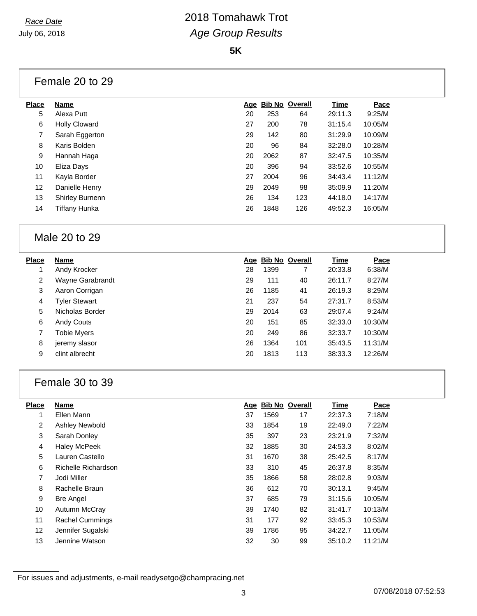**5K**

#### Female 20 to 29

| <b>Place</b> | Name                   |    |      | Age Bib No Overall | <b>Time</b> | Pace    |
|--------------|------------------------|----|------|--------------------|-------------|---------|
| 5            | Alexa Putt             | 20 | 253  | 64                 | 29:11.3     | 9:25/M  |
| 6            | <b>Holly Cloward</b>   | 27 | 200  | 78                 | 31:15.4     | 10:05/M |
| 7            | Sarah Eggerton         | 29 | 142  | 80                 | 31:29.9     | 10:09/M |
| 8            | Karis Bolden           | 20 | 96   | 84                 | 32:28.0     | 10:28/M |
| 9            | Hannah Haga            | 20 | 2062 | 87                 | 32:47.5     | 10:35/M |
| 10           | Eliza Days             | 20 | 396  | 94                 | 33:52.6     | 10:55/M |
| 11           | Kayla Border           | 27 | 2004 | 96                 | 34:43.4     | 11:12/M |
| 12           | Danielle Henry         | 29 | 2049 | 98                 | 35:09.9     | 11:20/M |
| 13           | <b>Shirley Burnenn</b> | 26 | 134  | 123                | 44:18.0     | 14:17/M |
| 14           | <b>Tiffany Hunka</b>   | 26 | 1848 | 126                | 49:52.3     | 16:05/M |
|              |                        |    |      |                    |             |         |

## Male 20 to 29

| Name                 |    |      |     | Time               | Pace    |
|----------------------|----|------|-----|--------------------|---------|
| Andy Krocker         | 28 | 1399 |     | 20:33.8            | 6:38/M  |
| Wayne Garabrandt     | 29 | 111  | 40  | 26:11.7            | 8:27/M  |
| Aaron Corrigan       | 26 | 1185 | 41  | 26:19.3            | 8:29/M  |
| <b>Tyler Stewart</b> | 21 | 237  | 54  | 27:31.7            | 8:53/M  |
| Nicholas Border      | 29 | 2014 | 63  | 29:07.4            | 9:24/M  |
| Andy Couts           | 20 | 151  | 85  | 32:33.0            | 10:30/M |
| Tobie Myers          | 20 | 249  | 86  | 32:33.7            | 10:30/M |
| jeremy slasor        | 26 | 1364 | 101 | 35:43.5            | 11:31/M |
| clint albrecht       | 20 | 1813 | 113 | 38:33.3            | 12:26/M |
|                      |    |      |     | Age Bib No Overall |         |

## Female 30 to 39

| <b>Place</b>      | <b>Name</b>         | Age | Bib No | Overall | Time    | Pace    |
|-------------------|---------------------|-----|--------|---------|---------|---------|
| 1                 | Ellen Mann          | 37  | 1569   | 17      | 22:37.3 | 7:18/M  |
| 2                 | Ashley Newbold      | 33  | 1854   | 19      | 22:49.0 | 7:22/M  |
| 3                 | Sarah Donley        | 35  | 397    | 23      | 23:21.9 | 7:32/M  |
| 4                 | <b>Haley McPeek</b> | 32  | 1885   | 30      | 24:53.3 | 8:02/M  |
| 5                 | Lauren Castello     | 31  | 1670   | 38      | 25:42.5 | 8:17/M  |
| 6                 | Richelle Richardson | 33  | 310    | 45      | 26:37.8 | 8:35/M  |
| 7                 | Jodi Miller         | 35  | 1866   | 58      | 28:02.8 | 9:03/M  |
| 8                 | Rachelle Braun      | 36  | 612    | 70      | 30:13.1 | 9:45/M  |
| 9                 | <b>Bre Angel</b>    | 37  | 685    | 79      | 31:15.6 | 10:05/M |
| 10                | Autumn McCray       | 39  | 1740   | 82      | 31:41.7 | 10:13/M |
| 11                | Rachel Cummings     | 31  | 177    | 92      | 33:45.3 | 10:53/M |
| $12 \overline{ }$ | Jennifer Sugalski   | 39  | 1786   | 95      | 34:22.7 | 11:05/M |
| 13                | Jennine Watson      | 32  | 30     | 99      | 35:10.2 | 11:21/M |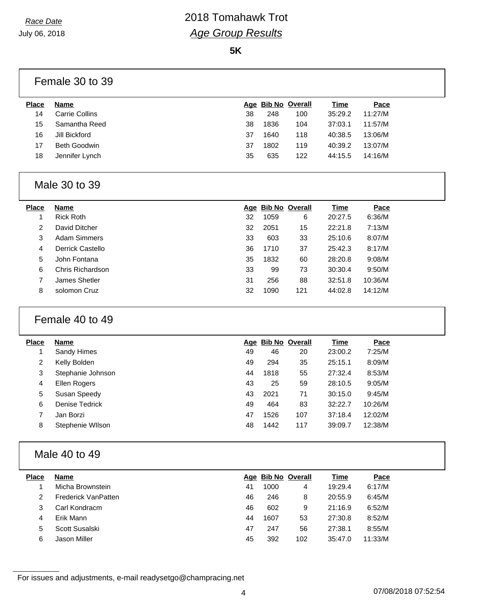**5K**

|              | Female 30 to 39 |    |      |                    |             |         |  |
|--------------|-----------------|----|------|--------------------|-------------|---------|--|
| <b>Place</b> | <b>Name</b>     |    |      | Age Bib No Overall | <b>Time</b> | Pace    |  |
| 14           | Carrie Collins  | 38 | 248  | 100                | 35:29.2     | 11:27/M |  |
| 15           | Samantha Reed   | 38 | 1836 | 104                | 37:03.1     | 11:57/M |  |
| 16           | Jill Bickford   | 37 | 1640 | 118                | 40:38.5     | 13:06/M |  |
| 17           | Beth Goodwin    | 37 | 1802 | 119                | 40:39.2     | 13:07/M |  |
| 18           | Jennifer Lynch  | 35 | 635  | 122                | 44:15.5     | 14:16/M |  |

#### Male 30 to 39

| Time<br>Pace       |
|--------------------|
| 6:36/M<br>20:27.5  |
| 7:13/M<br>22:21.8  |
| 8:07/M<br>25:10.6  |
| 8:17/M<br>25:42.3  |
| 9:08/M<br>28:20.8  |
| 9:50/M<br>30:30.4  |
| 10:36/M<br>32:51.8 |
| 14:12/M<br>44:02.8 |
|                    |

## Female 40 to 49

| <b>Place</b> | Name              |    | Age Bib No Overall |     | Time    | Pace    |
|--------------|-------------------|----|--------------------|-----|---------|---------|
|              | Sandy Himes       | 49 | 46                 | 20  | 23:00.2 | 7:25/M  |
| 2            | Kelly Bolden      | 49 | 294                | 35  | 25:15.1 | 8:09/M  |
| 3            | Stephanie Johnson | 44 | 1818               | 55  | 27:32.4 | 8:53/M  |
| 4            | Ellen Rogers      | 43 | 25                 | 59  | 28:10.5 | 9:05/M  |
| 5            | Susan Speedy      | 43 | 2021               | 71  | 30:15.0 | 9:45/M  |
| 6            | Denise Tedrick    | 49 | 464                | 83  | 32:22.7 | 10:26/M |
|              | Jan Borzi         | 47 | 1526               | 107 | 37:18.4 | 12:02/M |
| 8            | Stephenie Wilson  | 48 | 1442               | 117 | 39:09.7 | 12:38/M |

## Male 40 to 49

| <b>Place</b> | <b>Name</b>         |    |      | Age Bib No Overall | Time    | Pace    |
|--------------|---------------------|----|------|--------------------|---------|---------|
|              | Micha Brownstein    | 41 | 1000 | 4                  | 19:29.4 | 6:17/M  |
|              | Frederick VanPatten | 46 | 246  | 8                  | 20:55.9 | 6:45/M  |
|              | Carl Kondracm       | 46 | 602  | 9                  | 21:16.9 | 6:52/M  |
| 4            | Erik Mann           | 44 | 1607 | 53                 | 27:30.8 | 8:52/M  |
| 5            | Scott Susalski      | 47 | 247  | 56                 | 27:38.1 | 8:55/M  |
| 6            | Jason Miller        | 45 | 392  | 102                | 35:47.0 | 11:33/M |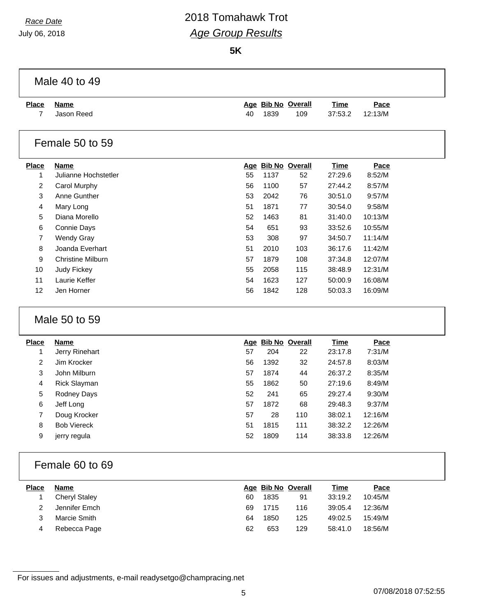July 06, 2018

# *Race Date* 2018 Tomahawk Trot *Age Group Results*

**5K**

|                | Male 40 to 49            |    |      |                    |             |         |
|----------------|--------------------------|----|------|--------------------|-------------|---------|
| <b>Place</b>   | <b>Name</b>              |    |      | Age Bib No Overall | <b>Time</b> | Pace    |
| $\overline{7}$ | Jason Reed               | 40 | 1839 | 109                | 37:53.2     | 12:13/M |
|                | Female 50 to 59          |    |      |                    |             |         |
| <b>Place</b>   | <b>Name</b>              |    |      | Age Bib No Overall | Time        | Pace    |
| 1              | Julianne Hochstetler     | 55 | 1137 | 52                 | 27:29.6     | 8:52/M  |
| 2              | Carol Murphy             | 56 | 1100 | 57                 | 27:44.2     | 8:57/M  |
| 3              | Anne Gunther             | 53 | 2042 | 76                 | 30:51.0     | 9:57/M  |
| 4              | Mary Long                | 51 | 1871 | 77                 | 30:54.0     | 9:58/M  |
| 5              | Diana Morello            | 52 | 1463 | 81                 | 31:40.0     | 10:13/M |
| 6              | Connie Days              | 54 | 651  | 93                 | 33:52.6     | 10:55/M |
| 7              | <b>Wendy Gray</b>        | 53 | 308  | 97                 | 34:50.7     | 11:14/M |
| 8              | Joanda Everhart          | 51 | 2010 | 103                | 36:17.6     | 11:42/M |
| 9              | <b>Christine Milburn</b> | 57 | 1879 | 108                | 37:34.8     | 12:07/M |
| 10             | Judy Fickey              | 55 | 2058 | 115                | 38:48.9     | 12:31/M |
| 11             | Laurie Keffer            | 54 | 1623 | 127                | 50:00.9     | 16:08/M |
| 12             | Jen Horner               | 56 | 1842 | 128                | 50:03.3     | 16:09/M |
|                | Male 50 to 59            |    |      |                    |             |         |
| <b>Place</b>   | <b>Name</b>              |    |      | Age Bib No Overall | <b>Time</b> | Pace    |
| 1              | Jerry Rinehart           | 57 | 204  | 22                 | 23:17.8     | 7:31/M  |
| 2              | Jim Krocker              | 56 | 1392 | 32                 | 24:57.8     | 8:03/M  |
| 3              | John Milburn             | 57 | 1874 | 44                 | 26:37.2     | 8:35/M  |
| 4              | Rick Slayman             | 55 | 1862 | 50                 | 27:19.6     | 8:49/M  |
| 5              | Rodney Days              | 52 | 241  | 65                 | 29:27.4     | 9:30/M  |
| 6              | Jeff Long                | 57 | 1872 | 68                 | 29:48.3     | 9:37/M  |
| 7              | Doug Krocker             | 57 | 28   | 110                | 38:02.1     | 12:16/M |
| 8              | <b>Bob Viereck</b>       | 51 | 1815 | 111                | 38:32.2     | 12:26/M |
| 9              | jerry regula             | 52 | 1809 | 114                | 38:33.8     | 12:26/M |
|                | Female 60 to 69          |    |      |                    |             |         |
| <b>Place</b>   | <b>Name</b>              |    |      | Age Bib No Overall | <b>Time</b> | Pace    |
| $\mathbf{1}$   | <b>Cheryl Staley</b>     | 60 | 1835 | 91                 | 33:19.2     | 10:45/M |
| 2              | Jennifer Emch            | 69 | 1715 | 116                | 39:05.4     | 12:36/M |
| 3              | Marcie Smith             | 64 | 1850 | 125                | 49:02.5     | 15:49/M |

Rebecca Page 62 653 129 58:41.0 18:56/M